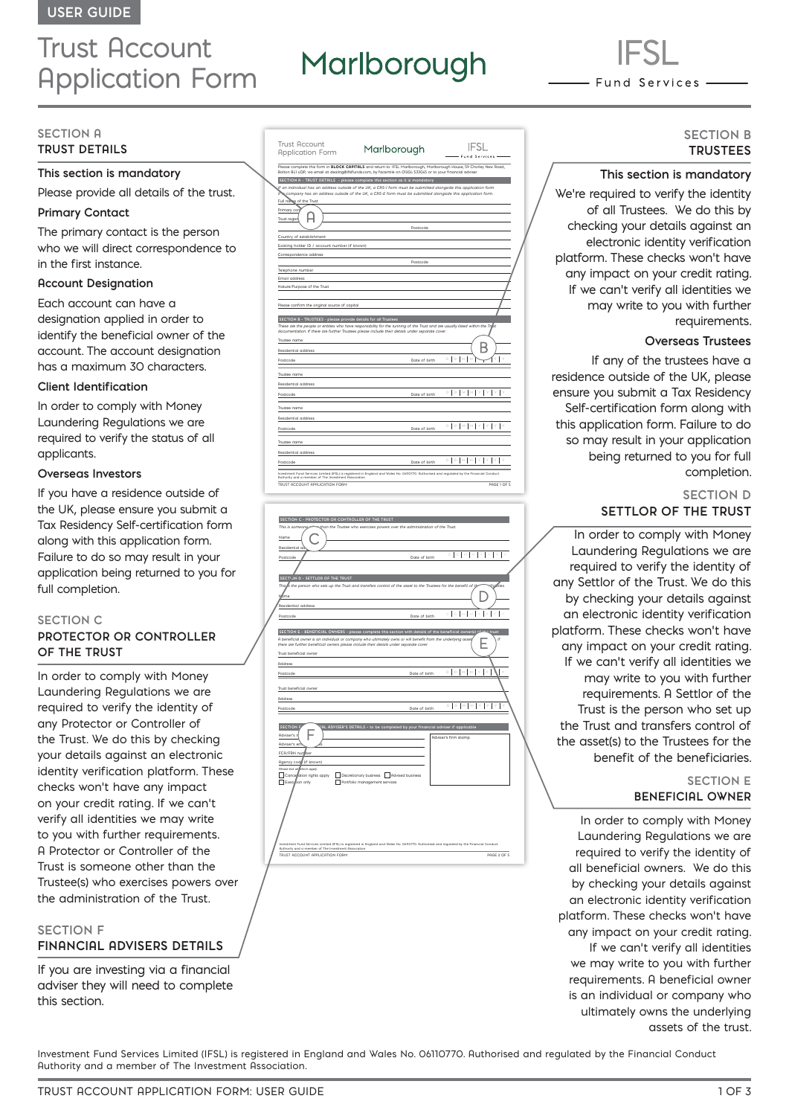# Trust Account Application Form

# Marlborough

- Fund Services –

#### **SECTION A TRUST DETAILS**

# **This section is mandatory**

Please provide all details of the trust.

# **Primary Contact**

The primary contact is the person who we will direct correspondence to in the first instance.

#### **Account Designation**

Each account can have a designation applied in order to identify the beneficial owner of the account. The account designation has a maximum 30 characters.

#### **Client Identification**

In order to comply with Money Laundering Regulations we are required to verify the status of all applicants.

### **Overseas Investors**

If you have a residence outside of the UK, please ensure you submit a Tax Residency Self-certification form along with this application form. Failure to do so may result in your application being returned to you for full completion.

#### **SECTION C**

# **PROTECTOR OR CONTROLLER OF THE TRUST**

In order to comply with Money Laundering Regulations we are required to verify the identity of any Protector or Controller of the Trust. We do this by checking your details against an electronic identity verification platform. These checks won't have any impact on your credit rating. If we can't verify all identities we may write to you with further requirements. A Protector or Controller of the Trust is someone other than the Trustee(s) who exercises powers over the administration of the Trust.

#### **SECTION F**

# **FINANCIAL ADVISERS DETAILS**

If you are investing via a financial adviser they will need to complete this section.

| <b>Trust Account</b><br><b>Application Form</b>                                | Marlborough                                                                                                                                                                                                                            |             |
|--------------------------------------------------------------------------------|----------------------------------------------------------------------------------------------------------------------------------------------------------------------------------------------------------------------------------------|-------------|
|                                                                                | Please complete this form in BLOCK CAPITALS and return to: IFSL Marlborough, Marlborough House, 59 Chorley New Road,<br>Bolton BL1 4QP, via email at dealina@ifslfunds.com, by facsimile on 01204 533045 or to your financial adviser. |             |
|                                                                                | SECTION A - TRUST DETAILS - please complete this section as it is mandatory                                                                                                                                                            |             |
| Full name of the Trust                                                         | f an individual has an address outside of the UK, a CRS-I form must be submitted alongside this application form.<br>a company has an address outside of the UK, a CRS-E form must be submitted alongside this application form.       |             |
| Primary cor<br>Trust regist                                                    |                                                                                                                                                                                                                                        |             |
|                                                                                | Postcode                                                                                                                                                                                                                               |             |
| Country of establishment                                                       |                                                                                                                                                                                                                                        |             |
| Existing holder ID / account number (if known)                                 |                                                                                                                                                                                                                                        |             |
| Correspondence address                                                         |                                                                                                                                                                                                                                        |             |
|                                                                                | Postcode                                                                                                                                                                                                                               |             |
| Telephone number                                                               |                                                                                                                                                                                                                                        |             |
| Email address                                                                  |                                                                                                                                                                                                                                        |             |
| Nature/Purpose of the Trust                                                    |                                                                                                                                                                                                                                        |             |
| SECTION B - TRUSTEES - please provide details for all Trustees<br>Trustee name | These are the people or entities who have responsibility for the running of the Trust and are usually listed within the Trifist<br>documentation. If there are further Trustees please include their details under separate cover.     |             |
| Residential address                                                            |                                                                                                                                                                                                                                        |             |
| Postcode                                                                       | Date of birth                                                                                                                                                                                                                          | D           |
| Trustee name                                                                   |                                                                                                                                                                                                                                        |             |
| Residential address                                                            |                                                                                                                                                                                                                                        |             |
| Postcode                                                                       | Date of birth                                                                                                                                                                                                                          | D D M M Y Y |
| Trustee name                                                                   |                                                                                                                                                                                                                                        |             |
| Residential address                                                            |                                                                                                                                                                                                                                        |             |
| Postcode                                                                       | Date of birth                                                                                                                                                                                                                          | D M M       |
| Trustee name                                                                   |                                                                                                                                                                                                                                        |             |
| <b>Residential address</b>                                                     |                                                                                                                                                                                                                                        |             |
| Postcode                                                                       | Date of birth                                                                                                                                                                                                                          | D D M M Y Y |
| Ruthority and a member of The Investment Association.                          | Investment Fund Services Limited (IFSL) is registered in England and Wales No. 06110770. Authorised and regulated by the Financial Conduct                                                                                             |             |
| TRUST ACCOUNT APPLICATION FORM                                                 |                                                                                                                                                                                                                                        | PAGE 1 OF 5 |

| SECTION C - PROTECTOR OR CONTROLLER OF THE TRUST                                                                                                                                                                                       |  |
|----------------------------------------------------------------------------------------------------------------------------------------------------------------------------------------------------------------------------------------|--|
| This is someone<br>than the Trustee who exercises powers over the administration of the Trust.                                                                                                                                         |  |
| Name                                                                                                                                                                                                                                   |  |
| Residential ad                                                                                                                                                                                                                         |  |
| DDMM<br>Postcode<br>Date of birth                                                                                                                                                                                                      |  |
|                                                                                                                                                                                                                                        |  |
|                                                                                                                                                                                                                                        |  |
| SECTION D - SETTLOR OF THE TRUST<br>achries.                                                                                                                                                                                           |  |
| This is the person who sets up the Trust and transfers control of the asset to the Trustees for the benefit of th                                                                                                                      |  |
| Ŋlime                                                                                                                                                                                                                                  |  |
| Residential address                                                                                                                                                                                                                    |  |
| h<br>D.<br>Date of birth<br>Postcode                                                                                                                                                                                                   |  |
|                                                                                                                                                                                                                                        |  |
| SECTION E - BENEFICIAL OWNERS - please complete this section with details of the beneficial owner(s)<br>trust                                                                                                                          |  |
| A beneficial owner is an individual or company who ultimately owns or will benefit from the underlying asset<br>If<br>there are further beneficial owners please include their details under separate cover.                           |  |
| Trust beneficial owner                                                                                                                                                                                                                 |  |
|                                                                                                                                                                                                                                        |  |
| Address                                                                                                                                                                                                                                |  |
| $\mathbb{D}\left[\begin{array}{c c} \mathbb{D} & \mathbb{N} & \mathbb{N} \end{array}\right] \mathbb{M}\left[\begin{array}{c c} \mathbb{Y} & \mathbb{Y} & \mathbb{Y} \end{array}\right]\mathbb{Y} \right]$<br>Date of birth<br>Postcode |  |
| Trust beneficial owner                                                                                                                                                                                                                 |  |
|                                                                                                                                                                                                                                        |  |
| Address<br>D D M M Y Y Y                                                                                                                                                                                                               |  |
| Date of birth<br>Postcode                                                                                                                                                                                                              |  |
|                                                                                                                                                                                                                                        |  |
| <b>SECTION F</b><br>AL ADVISER'S DETAILS - to be completed by your financial adviser if applicable                                                                                                                                     |  |
| Adviser's r<br>Adviser's firm stamp                                                                                                                                                                                                    |  |
| Adviser's en                                                                                                                                                                                                                           |  |
| FCA/FRN nunlber                                                                                                                                                                                                                        |  |
| Rgency code (if known)                                                                                                                                                                                                                 |  |
| Please tick all which apply<br>Discretionary business Advised business<br>Cancesation rights apply                                                                                                                                     |  |
| Execution only<br>Portfolio management services                                                                                                                                                                                        |  |
|                                                                                                                                                                                                                                        |  |
|                                                                                                                                                                                                                                        |  |
|                                                                                                                                                                                                                                        |  |
|                                                                                                                                                                                                                                        |  |
|                                                                                                                                                                                                                                        |  |
|                                                                                                                                                                                                                                        |  |
| Investment Fund Services Limited (IFSL) is registered in England and Wales No. 06/10770. Ruthorised and regulated by the Financial Conduct                                                                                             |  |
| Ruthority and a member of The Investment Risociation.                                                                                                                                                                                  |  |
| PAGE 2 OF 5<br>TRUST ACCOUNT APPLICATION FORM                                                                                                                                                                                          |  |

# **SECTION B TRUSTEES**

#### **This section is mandatory**

We're required to verify the identity of all Trustees. We do this by checking your details against an electronic identity verification platform. These checks won't have any impact on your credit rating. If we can't verify all identities we may write to you with further requirements.

#### **Overseas Trustees**

If any of the trustees have a residence outside of the UK, please ensure you submit a Tax Residency Self-certification form along with this application form. Failure to do so may result in your application being returned to you for full completion.

# **SECTION D SETTLOR OF THE TRUST**

In order to comply with Money Laundering Regulations we are required to verify the identity of any Settlor of the Trust. We do this by checking your details against an electronic identity verification platform. These checks won't have any impact on your credit rating. If we can't verify all identities we may write to you with further requirements. A Settlor of the Trust is the person who set up the Trust and transfers control of the asset(s) to the Trustees for the benefit of the beneficiaries.

# **SECTION E BENEFICIAL OWNER**

In order to comply with Money Laundering Regulations we are required to verify the identity of all beneficial owners. We do this by checking your details against an electronic identity verification platform. These checks won't have any impact on your credit rating. If we can't verify all identities we may write to you with further requirements. A beneficial owner is an individual or company who ultimately owns the underlying assets of the trust.

Investment Fund Services Limited (IFSL) is registered in England and Wales No. 06110770. Authorised and regulated by the Financial Conduct Authority and a member of The Investment Association.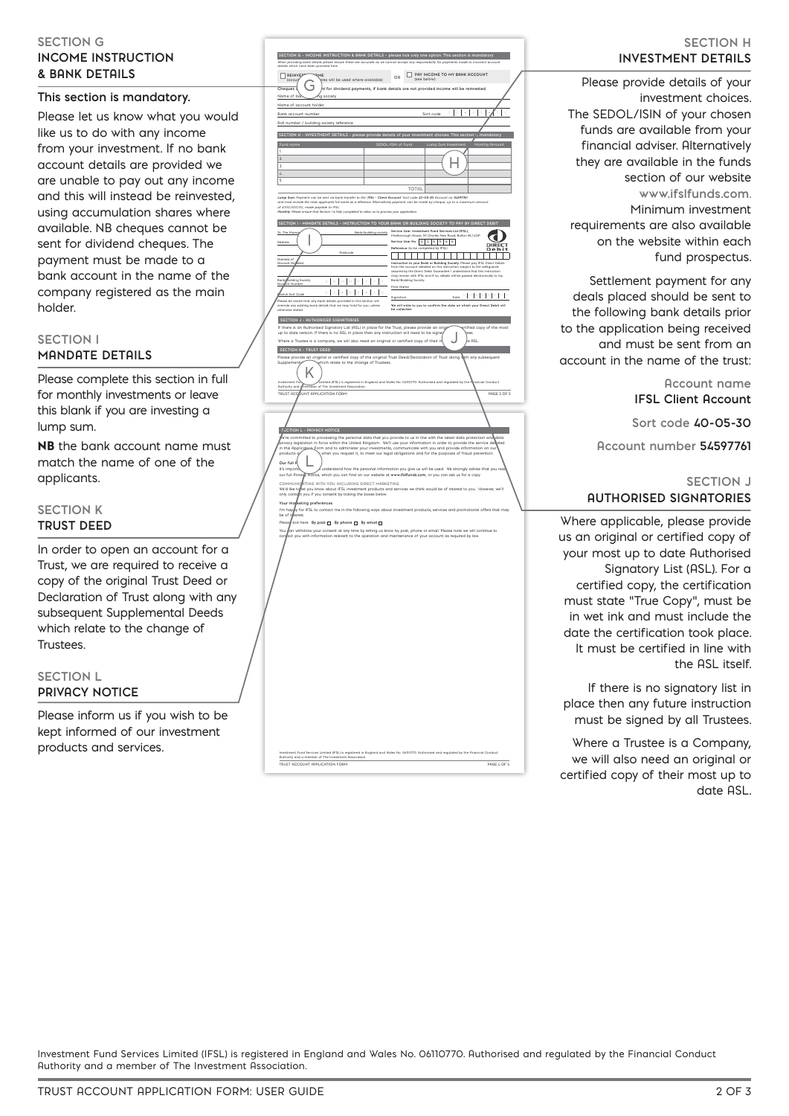## **SECTION G INCOME INSTRUCTION & BANK DETAILS**

# **This section is mandatory.**

Please let us know what you would like us to do with any income from your investment. If no bank account details are provided we are unable to pay out any income and this will instead be reinvested, using accumulation shares where available. NB cheques cannot be sent for dividend cheques. The payment must be made to a bank account in the name of the company registered as the main holder.

# **SECTION I MANDATE DETAILS**

Please complete this section in full for monthly investments or leave this blank if you are investing a lump sum.

NB the bank account name must match the name of one of the applicants.

# **SECTION K TRUST DEED**

In order to open an account for a Trust, we are required to receive a copy of the original Trust Deed or Declaration of Trust along with any subsequent Supplemental Deeds which relate to the change of Trustees.

#### **SECTION L PRIVACY NOTICE**

Please inform us if you wish to be kept informed of our investment products and services.

| When providing bank details please ensure these are accurate as we cannot accept any responsibility for payr<br>details which have been provided here.                                 | SECTION G - INCOME INSTRUCTION & BANK DETAILS - please tick only one option. This section is mandatory<br>nents made to<br>account                                                                                                  |
|----------------------------------------------------------------------------------------------------------------------------------------------------------------------------------------|-------------------------------------------------------------------------------------------------------------------------------------------------------------------------------------------------------------------------------------|
| details<br>REINVER<br>ME                                                                                                                                                               | PRY INCOME TO MY BANK ACCOUNT                                                                                                                                                                                                       |
| L<br>res will be used where available)<br>(accu                                                                                                                                        | OR<br>(see below)                                                                                                                                                                                                                   |
| ٦<br>Cheques -                                                                                                                                                                         | it for dividend payments, if bank details are not provided income will be reinvested.                                                                                                                                               |
| Name of b<br>society<br>Name of account holder                                                                                                                                         |                                                                                                                                                                                                                                     |
| Bank account number                                                                                                                                                                    | Sort code                                                                                                                                                                                                                           |
| Roll number / building society reference                                                                                                                                               |                                                                                                                                                                                                                                     |
| SECTION H - INVESTMENT DETAILS - please provide details of your investment choices. This section                                                                                       | 's mandatory                                                                                                                                                                                                                        |
|                                                                                                                                                                                        | SEDOL/ISIN of Fund<br><b>Luc</b><br>thly Ar                                                                                                                                                                                         |
| 1.                                                                                                                                                                                     |                                                                                                                                                                                                                                     |
| $\overline{2}$<br>3.                                                                                                                                                                   |                                                                                                                                                                                                                                     |
| $\mathcal{L}$                                                                                                                                                                          |                                                                                                                                                                                                                                     |
| S                                                                                                                                                                                      |                                                                                                                                                                                                                                     |
|                                                                                                                                                                                        | TOTAL                                                                                                                                                                                                                               |
| Lump Sum: Payment can be sent via bank transfer to the 'IFSL - Client Rocount' Sort code 40-05-30 Rocount no. 54597761.<br>the main applicants full name as a n<br>e. Alb              | matively payment can be made by cheque, up to a mi                                                                                                                                                                                  |
| of £100,000.00, made payable to IFSL.<br>Monthly: Please ensure that Section I is fully completed to allow us to process your application                                              |                                                                                                                                                                                                                                     |
|                                                                                                                                                                                        | SECTION I - MANDATE DETAILS - INSTRUCTION TO YOUR BANK OR BUILDING SOCIETY TO PAY BY DIRECT DEBIT                                                                                                                                   |
| To: The Man<br>Bank/building society                                                                                                                                                   | Service User: Investment Fund Services Ltd (IFSL),<br>Marlborough House, 59 Charley New Road, Bolton BL1 4QP                                                                                                                        |
| Address                                                                                                                                                                                | Service User No: 2 4 6 5 6 6                                                                                                                                                                                                        |
|                                                                                                                                                                                        | Reference: (to be completed by IFSL)                                                                                                                                                                                                |
| Name(s) of<br>Rocount He                                                                                                                                                               |                                                                                                                                                                                                                                     |
|                                                                                                                                                                                        | Instruction to your Bank or Building Society: Please pay IFSL Direct Debits<br>from the account detailed on this instruction subject to the safeguards<br>assured by the Direct Debit Guarantee. I understand that this instruction |
| ng Society<br>$\mathbb{D} \quad \mathbb{D} \quad \mathbb{M}$<br>Bar<br><u>Aos</u>                                                                                                      | answer by the better beats could be a catalogue of the base and catalogue.<br>Bank/Building Society.<br>Bank/Building Society.                                                                                                      |
| x I                                                                                                                                                                                    | Print Name                                                                                                                                                                                                                          |
| .<br>Please be aware that any bank details provided in this section will<br>override any existing bank details that we may hold for you, unless                                        | Signature                                                                                                                                                                                                                           |
| otherwise stated                                                                                                                                                                       | We will write to you to confirm the date on which your Direct Debit will<br>be collected                                                                                                                                            |
| SECTION J - AUTHORISED SIGNATORIES                                                                                                                                                     |                                                                                                                                                                                                                                     |
| If there is an Authorised Signatory List (ASL) in place for the Trust, please provide an origi                                                                                         | etified copy of the most                                                                                                                                                                                                            |
| up to date version. If there is no ASL in place then any instruction will need to be signe<br>Where a Trustee is a company, we will also need an original or certified copy of their n | e ASL                                                                                                                                                                                                                               |
| <b>SECTION K - TRUST DEED</b>                                                                                                                                                          |                                                                                                                                                                                                                                     |
| Supplement<br>which relate to the change of Trustees.                                                                                                                                  | Please provide an original or certified copy of the original Trust Deed/Declaration of Trust along with any subsequent                                                                                                              |
|                                                                                                                                                                                        |                                                                                                                                                                                                                                     |
| Investment Fu                                                                                                                                                                          | Limited (IFSL) is registered in England and Wales No. 06110770. Authorised and regulated by the P                                                                                                                                   |
| <b>Authority and</b><br>member of The Investment Association                                                                                                                           | ancial Conduct                                                                                                                                                                                                                      |
| UNT APPLICATION FORM<br><b>TRUST ACC</b>                                                                                                                                               | PAGE 3 OF 5                                                                                                                                                                                                                         |
|                                                                                                                                                                                        |                                                                                                                                                                                                                                     |
|                                                                                                                                                                                        |                                                                                                                                                                                                                                     |
|                                                                                                                                                                                        |                                                                                                                                                                                                                                     |
|                                                                                                                                                                                        |                                                                                                                                                                                                                                     |
| <b>ECTION L - PRIVACY NOTICE</b>                                                                                                                                                       | e're committed to processing the personal data that you provide to us in line with the latest data protection and data                                                                                                              |
| in this Application                                                                                                                                                                    | privacy legislation in force within the United Kingdom. We'll use your information in order to provide the service de<br>iled<br>-Eorm and to administer your investments, communicate with you and provide information on our      |
| products o                                                                                                                                                                             | when you request it, to meet our legal obligations and for the purposes of fraud prevention.                                                                                                                                        |
| Our full P<br>It's importa                                                                                                                                                             | a understand how the personal information you give us will be used. We strongly advise that you read                                                                                                                                |
| our full Privagy Notice, which you can find on our website at www.ifsifunds.com, or you can ask us for a copy.                                                                         |                                                                                                                                                                                                                                     |
| COMMUNICATING WITH YOU INCLUDING DIRECT MARKETING<br>We'd like tq                                                                                                                      |                                                                                                                                                                                                                                     |
| only contact you if you consent by ticking the boxes below.                                                                                                                            | et you know about IFSL investment products and services we think would be of interest to you. However, we'll                                                                                                                        |
| Your maj<br>keting preferences                                                                                                                                                         |                                                                                                                                                                                                                                     |
|                                                                                                                                                                                        | I'm happy for IFSL to contact me in the following ways about investment products, services and promotional offers that may<br>be of lightrest.                                                                                      |
| Plea:<br>tick here: By post [ By phone [ By email [ ]                                                                                                                                  |                                                                                                                                                                                                                                     |
| You<br>act you with information relevant to the operation and maintenance of your account as required by law.                                                                          | an withdraw your consent at any time by letting us know by post, phone or email. Please note we will continue to                                                                                                                    |
|                                                                                                                                                                                        |                                                                                                                                                                                                                                     |
|                                                                                                                                                                                        |                                                                                                                                                                                                                                     |
|                                                                                                                                                                                        |                                                                                                                                                                                                                                     |
|                                                                                                                                                                                        |                                                                                                                                                                                                                                     |
|                                                                                                                                                                                        |                                                                                                                                                                                                                                     |
|                                                                                                                                                                                        |                                                                                                                                                                                                                                     |
|                                                                                                                                                                                        |                                                                                                                                                                                                                                     |
|                                                                                                                                                                                        |                                                                                                                                                                                                                                     |
|                                                                                                                                                                                        |                                                                                                                                                                                                                                     |
|                                                                                                                                                                                        |                                                                                                                                                                                                                                     |
|                                                                                                                                                                                        |                                                                                                                                                                                                                                     |
|                                                                                                                                                                                        |                                                                                                                                                                                                                                     |
|                                                                                                                                                                                        |                                                                                                                                                                                                                                     |
|                                                                                                                                                                                        |                                                                                                                                                                                                                                     |
|                                                                                                                                                                                        |                                                                                                                                                                                                                                     |
|                                                                                                                                                                                        |                                                                                                                                                                                                                                     |
|                                                                                                                                                                                        |                                                                                                                                                                                                                                     |
|                                                                                                                                                                                        |                                                                                                                                                                                                                                     |
|                                                                                                                                                                                        |                                                                                                                                                                                                                                     |
|                                                                                                                                                                                        |                                                                                                                                                                                                                                     |
|                                                                                                                                                                                        |                                                                                                                                                                                                                                     |
|                                                                                                                                                                                        |                                                                                                                                                                                                                                     |
| TRUST ACCOUNT APPLICATION FORM                                                                                                                                                         | Investment Fund Services Limited (IFSL) is registered in England and Wales No. 06110770. Authorised and regulated by the Financial Con<br>Authority and a member of The Investment Association.                                     |

# **SECTION H INVESTMENT DETAILS**

Please provide details of your investment choices. The SEDOL/ISIN of your chosen funds are available from your financial adviser. Alternatively they are available in the funds section of our website **www.ifslfunds.com**. Minimum investment requirements are also available on the website within each fund prospectus.

Settlement payment for any deals placed should be sent to the following bank details prior to the application being received and must be sent from an account in the name of the trust:

> **Account name IFSL Client Account**

**Sort code 40-05-30** 

**Account number 54597761**

# **SECTION J AUTHORISED SIGNATORIES**

Where applicable, please provide us an original or certified copy of your most up to date Authorised Signatory List (ASL). For a certified copy, the certification must state "True Copy", must be in wet ink and must include the date the certification took place. It must be certified in line with the ASL itself.

If there is no signatory list in place then any future instruction must be signed by all Trustees.

Where a Trustee is a Company, we will also need an original or certified copy of their most up to date ASL.

Investment Fund Services Limited (IFSL) is registered in England and Wales No. 06110770. Authorised and regulated by the Financial Conduct Authority and a member of The Investment Association.